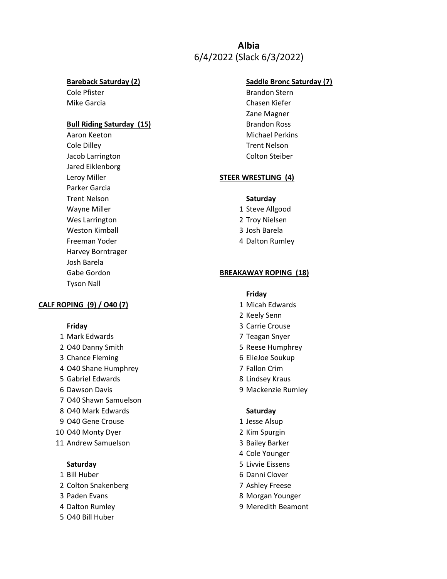# **Albia** 6/4/2022 (Slack 6/3/2022)

### **Bull Riding Saturday (15)** Brandon Ross

Aaron Keeton **Michael Perkins** Cole Dilley Trent Nelson Jacob Larrington Colton Steiber Jared Eiklenborg Parker Garcia Trent Nelson **Saturday** Wayne Miller 1 Steve Allgood Wes Larrington 2 Troy Nielsen Weston Kimball 3 Josh Barela Freeman Yoder **4 Dalton Rumley** Harvey Borntrager Josh Barela Tyson Nall

### **CALF ROPING (9) / 040 (7)** 1 Micah Edwards

- 
- 
- 
- 4 O40 Shane Humphrey 7 Fallon Crim
- 5 Gabriel Edwards 8 Lindsey Kraus
- 
- 7 O40 Shawn Samuelson
- 8 O40 Mark Edwards **Saturday**
- 9 O40 Gene Crouse 1 Jesse Alsup
- 10 O40 Monty Dyer 2 Kim Spurgin
- 11 Andrew Samuelson 3 Bailey Barker

- 
- 2 Colton Snakenberg 7 Ashley Freese
- 
- 
- 5 O40 Bill Huber

## **Bareback Saturday (2) Saddle Bronc Saturday (7)**

Cole Pfister **Brandon Stern** Mike Garcia Chasen Kiefer Zane Magner

# Leroy Miller **STEER WRESTLING (4)**

- 
- 
- 
- 

## Gabe Gordon **BREAKAWAY ROPING** (18)

### **Friday**

- 
- 2 Keely Senn
- **Friday** 3 Carrie Crouse
- 1 Mark Edwards 7 Teagan Snyer
- 2 O40 Danny Smith 5 Reese Humphrey
- 3 Chance Fleming 6 ElieJoe Soukup
	-
	-
- 6 Dawson Davis 9 Mackenzie Rumley

- 
- 
- 
- 4 Cole Younger
- **Saturday** 5 Livvie Eissens
- 1 Bill Huber 6 Danni Clover
	-
- 3 Paden Evans **8 Morgan Younger**
- 4 Dalton Rumley **9 Meredith Beamont**